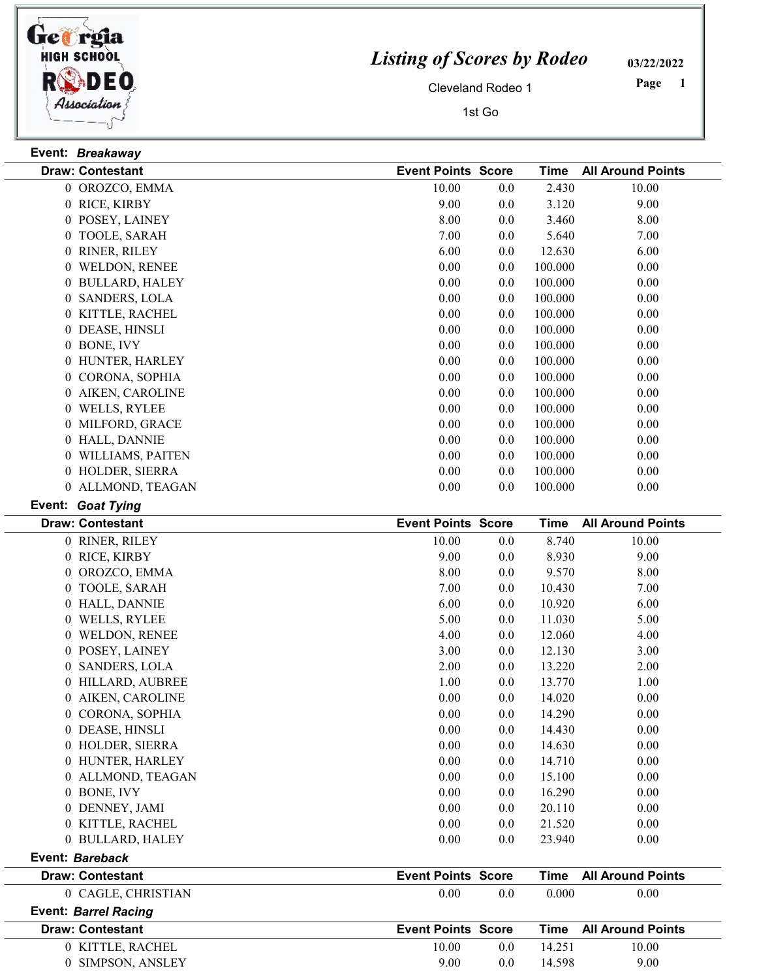

## Listing of Scores by Rodeo

03/22/2022

Cleveland Rodeo 1

1st Go

1 Page

| Event: Breakaway                 |                           |     |             |                          |
|----------------------------------|---------------------------|-----|-------------|--------------------------|
| <b>Draw: Contestant</b>          | <b>Event Points Score</b> |     | Time        | <b>All Around Points</b> |
| 0 OROZCO, EMMA                   | 10.00                     | 0.0 | 2.430       | 10.00                    |
| 0 RICE, KIRBY                    | 9.00                      | 0.0 | 3.120       | 9.00                     |
| 0 POSEY, LAINEY                  | 8.00                      | 0.0 | 3.460       | 8.00                     |
| 0 TOOLE, SARAH                   | 7.00                      | 0.0 | 5.640       | 7.00                     |
| 0 RINER, RILEY                   | 6.00                      | 0.0 | 12.630      | 6.00                     |
| 0 WELDON, RENEE                  | 0.00                      | 0.0 | 100.000     | 0.00                     |
| 0 BULLARD, HALEY                 | 0.00                      | 0.0 | 100.000     | 0.00                     |
| 0 SANDERS, LOLA                  | 0.00                      | 0.0 | 100.000     | 0.00                     |
| 0 KITTLE, RACHEL                 | 0.00                      | 0.0 | 100.000     | 0.00                     |
| 0 DEASE, HINSLI                  | 0.00                      | 0.0 | 100.000     | 0.00                     |
| 0 BONE, IVY                      | 0.00                      | 0.0 | 100.000     | 0.00                     |
| 0 HUNTER, HARLEY                 | 0.00                      | 0.0 | 100.000     | 0.00                     |
| CORONA, SOPHIA<br>$\overline{0}$ | 0.00                      | 0.0 | 100.000     | 0.00                     |
| 0 AIKEN, CAROLINE                | 0.00                      | 0.0 | 100.000     | 0.00                     |
| 0 WELLS, RYLEE                   | 0.00                      | 0.0 | 100.000     | 0.00                     |
| 0 MILFORD, GRACE                 | 0.00                      | 0.0 | 100.000     | 0.00                     |
| 0 HALL, DANNIE                   | 0.00                      | 0.0 | 100.000     | 0.00                     |
| 0 WILLIAMS, PAITEN               | 0.00                      | 0.0 | 100.000     | 0.00                     |
| 0 HOLDER, SIERRA                 | 0.00                      | 0.0 | 100.000     | 0.00                     |
| 0 ALLMOND, TEAGAN                | 0.00                      | 0.0 | 100.000     | 0.00                     |
| Event: Goat Tying                |                           |     |             |                          |
| <b>Draw: Contestant</b>          | <b>Event Points Score</b> |     | <b>Time</b> | <b>All Around Points</b> |
| 0 RINER, RILEY                   | 10.00                     | 0.0 | 8.740       | 10.00                    |
| 0 RICE, KIRBY                    | 9.00                      | 0.0 | 8.930       | 9.00                     |
| 0 OROZCO, EMMA                   | 8.00                      | 0.0 | 9.570       | 8.00                     |
| 0 TOOLE, SARAH                   | 7.00                      | 0.0 | 10.430      | 7.00                     |
| T T I T T T R I T T T T T        | $\sim$ 0.0                |     | $\sim$ 0.00 | $\sim$ 0.0               |

| <b>Draw: Contestant</b>     | <b>Event Points Score</b> |         | Time   | <b>All Around Points</b> |
|-----------------------------|---------------------------|---------|--------|--------------------------|
| <b>Event: Barrel Racing</b> |                           |         |        |                          |
| 0 CAGLE, CHRISTIAN          | 0.00                      | $0.0\,$ | 0.000  | 0.00                     |
| <b>Draw: Contestant</b>     | <b>Event Points Score</b> |         | Time   | <b>All Around Points</b> |
| Event: Bareback             |                           |         |        |                          |
| 0 BULLARD, HALEY            | 0.00                      | $0.0\,$ | 23.940 | 0.00                     |
| 0 KITTLE, RACHEL            | 0.00                      | $0.0\,$ | 21.520 | 0.00                     |
| 0 DENNEY, JAMI              | 0.00                      | 0.0     | 20.110 | 0.00                     |
| 0 BONE, IVY                 | 0.00                      | $0.0\,$ | 16.290 | 0.00                     |
| 0 ALLMOND, TEAGAN           | 0.00                      | $0.0\,$ | 15.100 | 0.00                     |
| 0 HUNTER, HARLEY            | 0.00                      | $0.0\,$ | 14.710 | 0.00                     |
| 0 HOLDER, SIERRA            | 0.00                      | $0.0\,$ | 14.630 | 0.00                     |
| 0 DEASE, HINSLI             | 0.00                      | $0.0\,$ | 14.430 | 0.00                     |
| 0 CORONA, SOPHIA            | 0.00                      | $0.0\,$ | 14.290 | 0.00                     |
| 0 AIKEN, CAROLINE           | 0.00                      | $0.0\,$ | 14.020 | 0.00                     |
| 0 HILLARD, AUBREE           | 1.00                      | $0.0\,$ | 13.770 | 1.00                     |
| 0 SANDERS, LOLA             | 2.00                      | $0.0\,$ | 13.220 | 2.00                     |
| 0 POSEY, LAINEY             | 3.00                      | $0.0\,$ | 12.130 | 3.00                     |
| 0 WELDON, RENEE             | 4.00                      | $0.0\,$ | 12.060 | 4.00                     |
| 0 WELLS, RYLEE              | 5.00                      | $0.0\,$ | 11.030 | 5.00                     |
| 0 HALL, DANNIE              | 6.00                      | $0.0\,$ | 10.920 | 6.00                     |
| 0 TOOLE, SARAH              | 7.00                      | $0.0\,$ | 10.430 | 7.00                     |
| 0 OROZCO, EMMA              | 8.00                      | 0.0     | 9.570  | 8.00                     |

| 10.00 | 0.0              | 14.251                    | 10.00 |                        |
|-------|------------------|---------------------------|-------|------------------------|
| 9.00  | 0.0 <sub>1</sub> | 14 598                    | 9.00  |                        |
|       |                  | <b>Event Points Score</b> |       | Time All Around Points |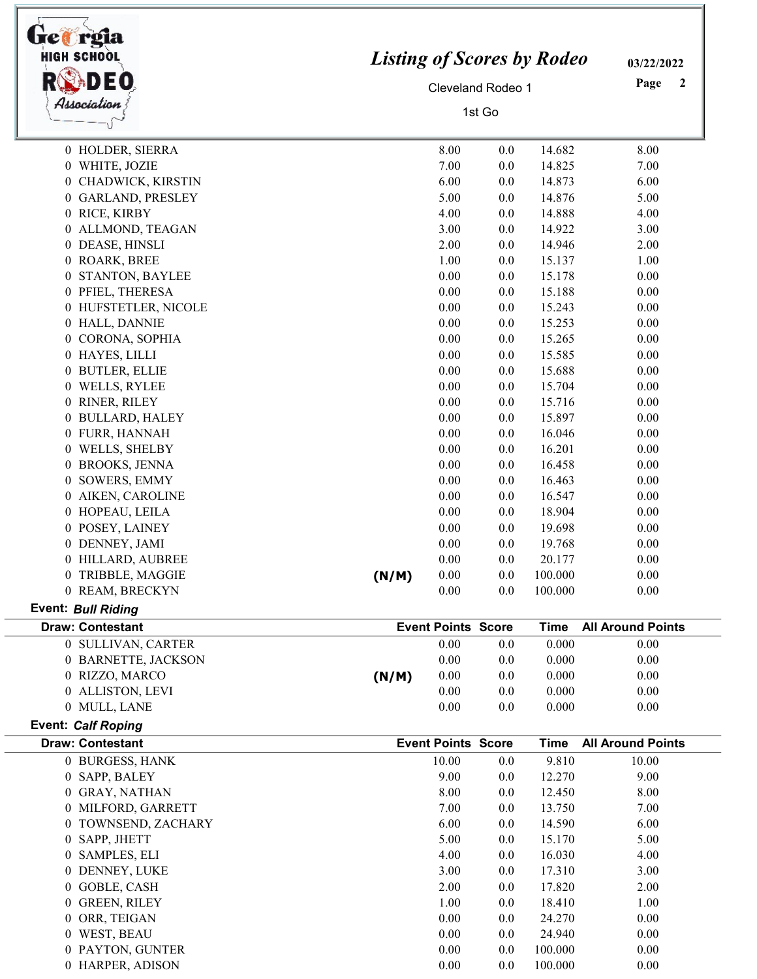| <b>HIGH SCHOOL</b><br>Association | <b>Listing of Scores by Rodeo</b><br>Cleveland Rodeo 1<br>1st Go |                           |     |             | 03/22/2022<br>Page<br>2  |
|-----------------------------------|------------------------------------------------------------------|---------------------------|-----|-------------|--------------------------|
| 0 HOLDER, SIERRA                  |                                                                  | 8.00                      | 0.0 | 14.682      | 8.00                     |
| 0 WHITE, JOZIE                    |                                                                  | 7.00                      | 0.0 | 14.825      | 7.00                     |
| 0 CHADWICK, KIRSTIN               |                                                                  | 6.00                      | 0.0 | 14.873      | 6.00                     |
| 0 GARLAND, PRESLEY                |                                                                  | 5.00                      | 0.0 | 14.876      | 5.00                     |
| 0 RICE, KIRBY                     |                                                                  | 4.00                      | 0.0 | 14.888      | 4.00                     |
| 0 ALLMOND, TEAGAN                 |                                                                  | 3.00                      | 0.0 | 14.922      | 3.00                     |
| 0 DEASE, HINSLI                   |                                                                  | 2.00                      | 0.0 | 14.946      | 2.00                     |
| 0 ROARK, BREE                     |                                                                  | 1.00                      | 0.0 | 15.137      | 1.00                     |
| 0 STANTON, BAYLEE                 |                                                                  | 0.00                      | 0.0 | 15.178      | 0.00                     |
| 0 PFIEL, THERESA                  |                                                                  | 0.00                      | 0.0 | 15.188      | 0.00                     |
| 0 HUFSTETLER, NICOLE              |                                                                  | 0.00                      | 0.0 | 15.243      | 0.00                     |
| 0 HALL, DANNIE                    |                                                                  | 0.00                      | 0.0 | 15.253      | 0.00                     |
| 0 CORONA, SOPHIA                  |                                                                  | 0.00                      | 0.0 | 15.265      | 0.00                     |
| 0 HAYES, LILLI                    |                                                                  | 0.00                      | 0.0 | 15.585      | 0.00                     |
| 0 BUTLER, ELLIE                   |                                                                  | 0.00                      | 0.0 | 15.688      | 0.00                     |
| 0 WELLS, RYLEE                    |                                                                  | 0.00                      | 0.0 | 15.704      | 0.00                     |
| 0 RINER, RILEY                    |                                                                  | 0.00                      | 0.0 | 15.716      | 0.00                     |
| 0 BULLARD, HALEY                  |                                                                  | 0.00                      | 0.0 | 15.897      | 0.00                     |
| 0 FURR, HANNAH                    |                                                                  | 0.00                      | 0.0 | 16.046      | 0.00                     |
| 0 WELLS, SHELBY                   |                                                                  | 0.00                      | 0.0 | 16.201      | 0.00                     |
| 0 BROOKS, JENNA                   |                                                                  | 0.00                      | 0.0 | 16.458      | 0.00                     |
| 0 SOWERS, EMMY                    |                                                                  | 0.00                      | 0.0 | 16.463      | 0.00                     |
| 0 AIKEN, CAROLINE                 |                                                                  | 0.00                      | 0.0 | 16.547      | 0.00                     |
| 0 HOPEAU, LEILA                   |                                                                  | 0.00                      | 0.0 | 18.904      | 0.00                     |
| 0 POSEY, LAINEY                   |                                                                  | 0.00                      | 0.0 | 19.698      | 0.00                     |
| 0 DENNEY, JAMI                    |                                                                  | 0.00                      | 0.0 | 19.768      | 0.00                     |
| 0 HILLARD, AUBREE                 |                                                                  | 0.00                      | 0.0 | 20.177      | 0.00                     |
| 0 TRIBBLE, MAGGIE                 | (N/M)                                                            | 0.00                      | 0.0 | 100.000     | 0.00                     |
| 0 REAM, BRECKYN                   |                                                                  | 0.00                      | 0.0 | 100.000     | 0.00                     |
| <b>Event: Bull Riding</b>         |                                                                  |                           |     |             |                          |
| <b>Draw: Contestant</b>           |                                                                  | <b>Event Points Score</b> |     | <b>Time</b> | <b>All Around Points</b> |
| 0 SULLIVAN, CARTER                |                                                                  | 0.00                      | 0.0 | 0.000       | 0.00                     |
| 0 BARNETTE, JACKSON               |                                                                  | 0.00                      | 0.0 | 0.000       | 0.00                     |
| 0 RIZZO, MARCO                    | (N/M)                                                            | 0.00                      | 0.0 | 0.000       | 0.00                     |
| 0 ALLISTON, LEVI                  |                                                                  | 0.00                      | 0.0 | 0.000       | 0.00                     |
| 0 MULL, LANE                      |                                                                  | 0.00                      | 0.0 | 0.000       | 0.00                     |
| <b>Event: Calf Roping</b>         |                                                                  |                           |     |             |                          |
| <b>Draw: Contestant</b>           |                                                                  | <b>Event Points Score</b> |     | <b>Time</b> | <b>All Around Points</b> |
| 0 BURGESS, HANK                   |                                                                  | 10.00                     | 0.0 | 9.810       | 10.00                    |
| 0 SAPP, BALEY                     |                                                                  | 9.00                      | 0.0 | 12.270      | 9.00                     |
| 0 GRAY, NATHAN                    |                                                                  | 8.00                      | 0.0 | 12.450      | 8.00                     |
| 0 MILFORD, GARRETT                |                                                                  | 7.00                      | 0.0 | 13.750      | 7.00                     |
| TOWNSEND, ZACHARY<br>$\theta$     |                                                                  | 6.00                      | 0.0 | 14.590      | 6.00                     |
| SAPP, JHETT<br>$\overline{0}$     |                                                                  | 5.00                      | 0.0 | 15.170      | 5.00                     |
| 0 SAMPLES, ELI                    |                                                                  | 4.00                      | 0.0 | 16.030      | 4.00                     |
| 0 DENNEY, LUKE                    |                                                                  | 3.00                      | 0.0 | 17.310      | 3.00                     |
| 0 GOBLE, CASH                     |                                                                  | 2.00                      | 0.0 | 17.820      | 2.00                     |
| 0 GREEN, RILEY                    |                                                                  | 1.00                      | 0.0 | 18.410      | 1.00                     |
| 0 ORR, TEIGAN                     |                                                                  | 0.00                      | 0.0 | 24.270      | 0.00                     |
| 0 WEST, BEAU                      |                                                                  | 0.00                      | 0.0 | 24.940      | 0.00                     |
| 0 PAYTON, GUNTER                  |                                                                  | 0.00                      | 0.0 | 100.000     | 0.00                     |
| 0 HARPER, ADISON                  |                                                                  | $0.00\,$                  | 0.0 | 100.000     | 0.00                     |

Г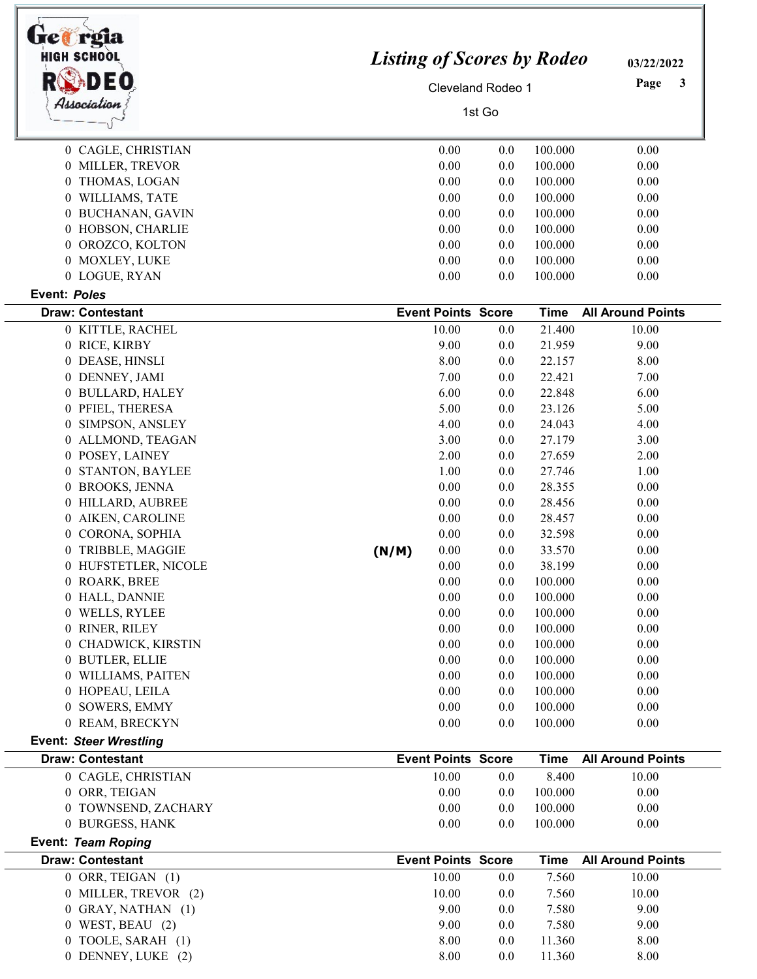| bet rgia<br><b>HIGH SCHOOL</b><br>DEO         | <b>Listing of Scores by Rodeo</b> | 03/22/2022<br>Page<br>3            |                |                       |                                   |
|-----------------------------------------------|-----------------------------------|------------------------------------|----------------|-----------------------|-----------------------------------|
| Association                                   | Cleveland Rodeo 1<br>1st Go       |                                    |                |                       |                                   |
| 0 CAGLE, CHRISTIAN                            |                                   | 0.00                               | 0.0            | 100.000               | 0.00                              |
| 0 MILLER, TREVOR                              |                                   | 0.00                               | 0.0            | 100.000               | 0.00                              |
| 0 THOMAS, LOGAN                               |                                   | 0.00                               | 0.0            | 100.000               | 0.00                              |
| 0 WILLIAMS, TATE                              |                                   | 0.00                               | 0.0            | 100.000               | 0.00                              |
| 0 BUCHANAN, GAVIN                             |                                   | 0.00                               | $0.0\,$        | 100.000               | 0.00                              |
| 0 HOBSON, CHARLIE                             |                                   | 0.00                               | $0.0\,$        | 100.000               | 0.00                              |
| 0 OROZCO, KOLTON                              |                                   | 0.00                               | 0.0            | 100.000               | 0.00                              |
| 0 MOXLEY, LUKE                                |                                   | $0.00\,$                           | $0.0\,$        | 100.000               | 0.00                              |
| 0 LOGUE, RYAN                                 |                                   | 0.00                               | 0.0            | 100.000               | 0.00                              |
| <b>Event: Poles</b>                           |                                   |                                    |                |                       |                                   |
| <b>Draw: Contestant</b><br>0 KITTLE, RACHEL   |                                   | <b>Event Points Score</b><br>10.00 | 0.0            | <b>Time</b><br>21.400 | <b>All Around Points</b><br>10.00 |
| 0 RICE, KIRBY                                 |                                   | 9.00                               | 0.0            | 21.959                | 9.00                              |
| 0 DEASE, HINSLI                               |                                   | 8.00                               | 0.0            | 22.157                | 8.00                              |
| 0 DENNEY, JAMI                                |                                   | 7.00                               | 0.0            | 22.421                | 7.00                              |
| 0 BULLARD, HALEY                              |                                   | 6.00                               | 0.0            | 22.848                | 6.00                              |
| 0 PFIEL, THERESA                              |                                   | 5.00                               | 0.0            | 23.126                | 5.00                              |
| SIMPSON, ANSLEY<br>$\boldsymbol{0}$           |                                   | 4.00                               | 0.0            | 24.043                | 4.00                              |
| 0 ALLMOND, TEAGAN                             |                                   | 3.00                               | 0.0            | 27.179                | 3.00                              |
| 0 POSEY, LAINEY                               |                                   | 2.00                               | 0.0            | 27.659                | 2.00                              |
| 0 STANTON, BAYLEE                             |                                   | 1.00                               | 0.0            | 27.746                | 1.00                              |
| 0 BROOKS, JENNA                               |                                   | 0.00                               | 0.0            | 28.355                | 0.00                              |
| 0 HILLARD, AUBREE<br>0 AIKEN, CAROLINE        |                                   | 0.00<br>0.00                       | 0.0<br>0.0     | 28.456<br>28.457      | 0.00<br>0.00                      |
| 0 CORONA, SOPHIA                              |                                   | 0.00                               | 0.0            | 32.598                | 0.00                              |
| 0 TRIBBLE, MAGGIE                             | (N/M)                             | 0.00                               | 0.0            | 33.570                | 0.00                              |
| 0 HUFSTETLER, NICOLE                          |                                   | 0.00                               | 0.0            | 38.199                | 0.00                              |
| 0 ROARK, BREE                                 |                                   | $0.00\,$                           | 0.0            | 100.000               | 0.00                              |
| 0 HALL, DANNIE                                |                                   | 0.00                               | 0.0            | 100.000               | 0.00                              |
| 0 WELLS, RYLEE                                |                                   | 0.00                               | $0.0\,$        | 100.000               | 0.00                              |
| 0 RINER, RILEY                                |                                   | 0.00                               | $0.0\,$        | 100.000               | 0.00                              |
| 0 CHADWICK, KIRSTIN                           |                                   | 0.00                               | $0.0\,$        | 100.000               | 0.00                              |
| 0 BUTLER, ELLIE                               |                                   | 0.00                               | $0.0\,$        | 100.000               | 0.00                              |
| 0 WILLIAMS, PAITEN                            |                                   | 0.00                               | $0.0\,$        | 100.000<br>100.000    | 0.00                              |
| 0 HOPEAU, LEILA<br>0 SOWERS, EMMY             |                                   | 0.00<br>0.00                       | 0.0<br>$0.0\,$ | 100.000               | 0.00<br>0.00                      |
| 0 REAM, BRECKYN                               |                                   | 0.00                               | $0.0\,$        | 100.000               | 0.00                              |
| <b>Event: Steer Wrestling</b>                 |                                   |                                    |                |                       |                                   |
| <b>Draw: Contestant</b>                       |                                   | <b>Event Points Score</b>          |                | <b>Time</b>           | <b>All Around Points</b>          |
| 0 CAGLE, CHRISTIAN                            |                                   | 10.00                              | 0.0            | 8.400                 | 10.00                             |
| 0 ORR, TEIGAN                                 |                                   | 0.00                               | $0.0\,$        | 100.000               | 0.00                              |
| 0 TOWNSEND, ZACHARY                           |                                   | 0.00                               | $0.0\,$        | 100.000               | 0.00                              |
| 0 BURGESS, HANK                               |                                   | 0.00                               | 0.0            | 100.000               | 0.00                              |
| Event: Team Roping<br><b>Draw: Contestant</b> |                                   | <b>Event Points Score</b>          |                | <b>Time</b>           | <b>All Around Points</b>          |
| $0$ ORR, TEIGAN $(1)$                         |                                   | 10.00                              | 0.0            | 7.560                 | 10.00                             |
| 0 MILLER, TREVOR (2)                          |                                   | 10.00                              | 0.0            | 7.560                 | 10.00                             |
| 0 GRAY, NATHAN (1)                            |                                   | 9.00                               | 0.0            | 7.580                 | 9.00                              |
| $0$ WEST, BEAU $(2)$                          |                                   | 9.00                               | 0.0            | 7.580                 | 9.00                              |
| 0 TOOLE, SARAH (1)                            |                                   | 8.00                               | $0.0\,$        | 11.360                | 8.00                              |
| 0 DENNEY, LUKE (2)                            |                                   | 8.00                               | 0.0            | 11.360                | 8.00                              |